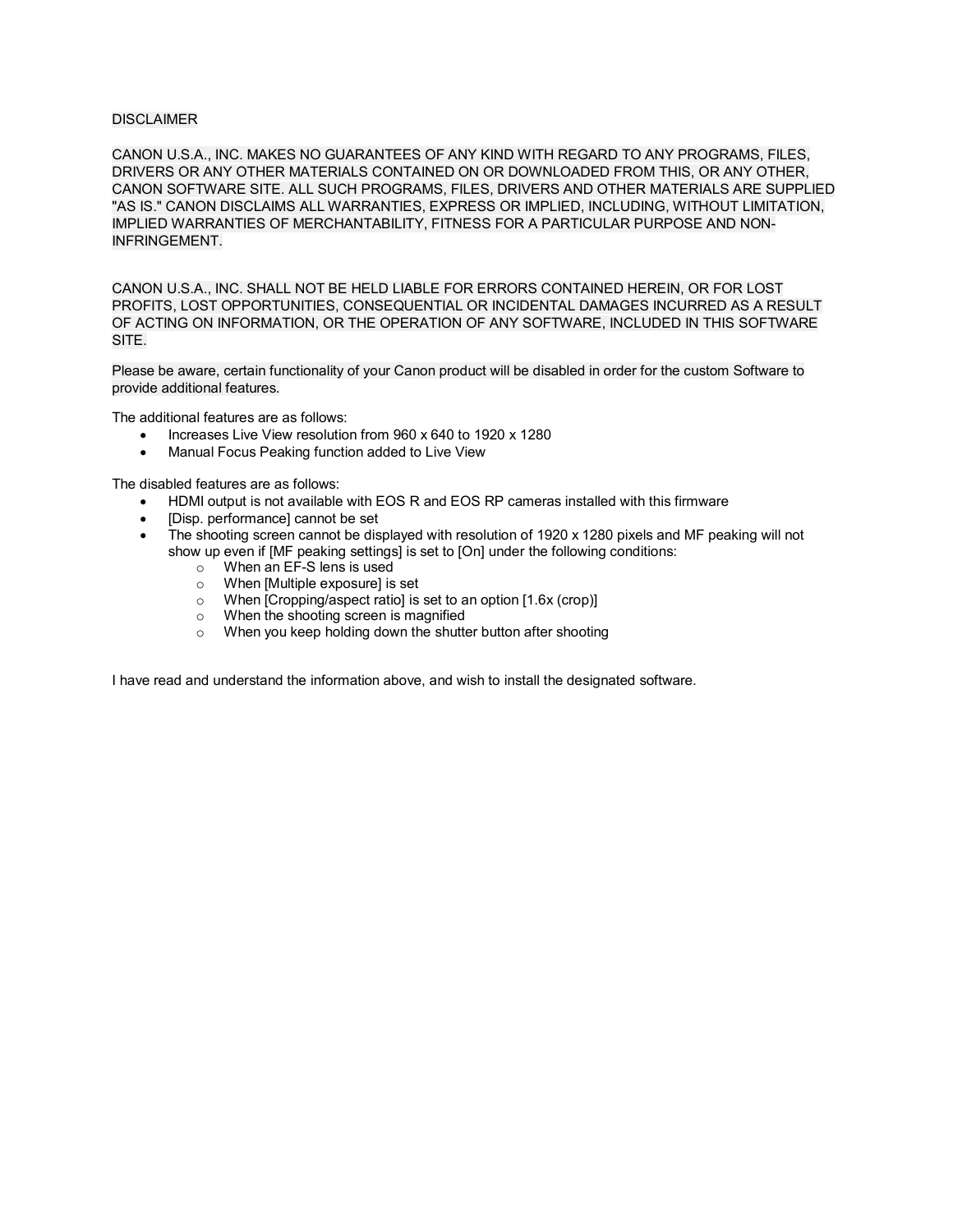## DISCLAIMER

CANON U.S.A., INC. MAKES NO GUARANTEES OF ANY KIND WITH REGARD TO ANY PROGRAMS, FILES, DRIVERS OR ANY OTHER MATERIALS CONTAINED ON OR DOWNLOADED FROM THIS, OR ANY OTHER, CANON SOFTWARE SITE. ALL SUCH PROGRAMS, FILES, DRIVERS AND OTHER MATERIALS ARE SUPPLIED "AS IS." CANON DISCLAIMS ALL WARRANTIES, EXPRESS OR IMPLIED, INCLUDING, WITHOUT LIMITATION, IMPLIED WARRANTIES OF MERCHANTABILITY, FITNESS FOR A PARTICULAR PURPOSE AND NON-INFRINGEMENT.

CANON U.S.A., INC. SHALL NOT BE HELD LIABLE FOR ERRORS CONTAINED HEREIN, OR FOR LOST PROFITS, LOST OPPORTUNITIES, CONSEQUENTIAL OR INCIDENTAL DAMAGES INCURRED AS A RESULT OF ACTING ON INFORMATION, OR THE OPERATION OF ANY SOFTWARE, INCLUDED IN THIS SOFTWARE SITE.

Please be aware, certain functionality of your Canon product will be disabled in order for the custom Software to provide additional features.

The additional features are as follows:

- Increases Live View resolution from 960 x 640 to 1920 x 1280
- Manual Focus Peaking function added to Live View

The disabled features are as follows:

- HDMI output is not available with EOS R and EOS RP cameras installed with this firmware
- [Disp. performance] cannot be set
- The shooting screen cannot be displayed with resolution of 1920 x 1280 pixels and MF peaking will not show up even if [MF peaking settings] is set to [On] under the following conditions:
	- ⊙ When an EF-S lens is used<br>
	⊙ When [Multiple exposure] is<br>
	⊙ When [Cropping/aspect ratio
	- When [Multiple exposure] is set
	- $\circ$  When [Cropping/aspect ratio] is set to an option [1.6x (crop)]<br>
	When the shooting screen is magnified
	- $\circ$  When the shooting screen is magnified  $\circ$  When you keep holding down the shuft
	- When you keep holding down the shutter button after shooting

I have read and understand the information above, and wish to install the designated software.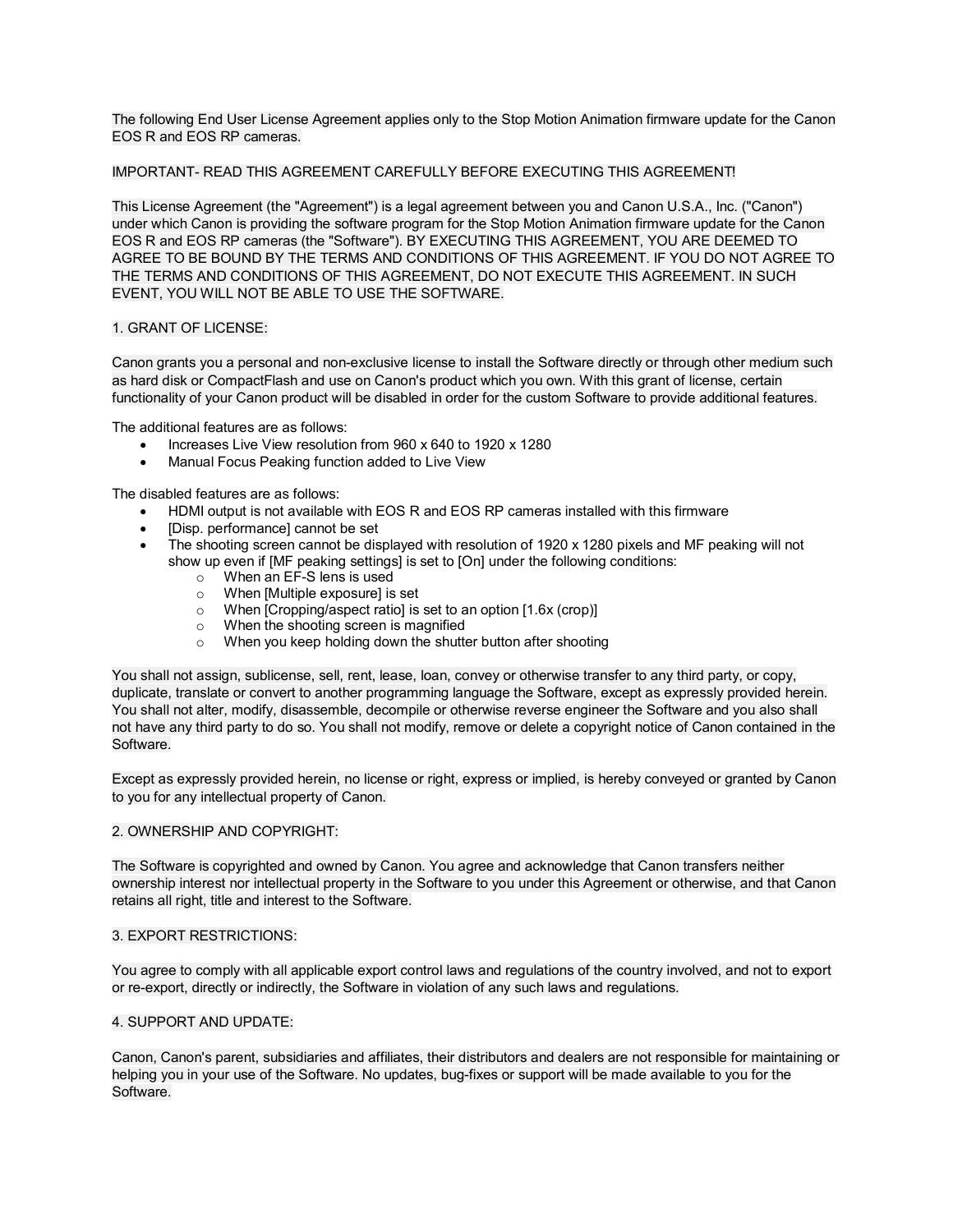The following End User License Agreement applies only to the Stop Motion Animation firmware update for the Canon EOS R and EOS RP cameras.

## IMPORTANT- READ THIS AGREEMENT CAREFULLY BEFORE EXECUTING THIS AGREEMENT!

This License Agreement (the "Agreement") is a legal agreement between you and Canon U.S.A., Inc. ("Canon") under which Canon is providing the software program for the Stop Motion Animation firmware update for the Canon EOS R and EOS RP cameras (the "Software"). BY EXECUTING THIS AGREEMENT, YOU ARE DEEMED TO AGREE TO BE BOUND BY THE TERMS AND CONDITIONS OF THIS AGREEMENT. IF YOU DO NOT AGREE TO THE TERMS AND CONDITIONS OF THIS AGREEMENT, DO NOT EXECUTE THIS AGREEMENT. IN SUCH EVENT, YOU WILL NOT BE ABLE TO USE THE SOFTWARE.

# 1. GRANT OF LICENSE:

Canon grants you a personal and non-exclusive license to install the Software directly or through other medium such as hard disk or CompactFlash and use on Canon's product which you own. With this grant of license, certain functionality of your Canon product will be disabled in order for the custom Software to provide additional features.

The additional features are as follows:

- Increases Live View resolution from 960 x 640 to 1920 x 1280
- Manual Focus Peaking function added to Live View

The disabled features are as follows:

- HDMI output is not available with EOS R and EOS RP cameras installed with this firmware
- [Disp. performance] cannot be set
- The shooting screen cannot be displayed with resolution of 1920 x 1280 pixels and MF peaking will not show up even if [MF peaking settings] is set to [On] under the following conditions:
	- o When an EF-S lens is used
	- o When [Multiple exposure] is set
	- $\circ$  When [Cropping/aspect ratio] is set to an option [1.6x (crop)]<br>  $\circ$  When the shooting screen is magnified
	- When the shooting screen is magnified
	- o When you keep holding down the shutter button after shooting

You shall not assign, sublicense, sell, rent, lease, loan, convey or otherwise transfer to any third party, or copy, duplicate, translate or convert to another programming language the Software, except as expressly provided herein. You shall not alter, modify, disassemble, decompile or otherwise reverse engineer the Software and you also shall not have any third party to do so. You shall not modify, remove or delete a copyright notice of Canon contained in the Software.

Except as expressly provided herein, no license or right, express or implied, is hereby conveyed or granted by Canon to you for any intellectual property of Canon.

#### 2. OWNERSHIP AND COPYRIGHT:

The Software is copyrighted and owned by Canon. You agree and acknowledge that Canon transfers neither ownership interest nor intellectual property in the Software to you under this Agreement or otherwise, and that Canon retains all right, title and interest to the Software.

# 3. EXPORT RESTRICTIONS:

You agree to comply with all applicable export control laws and regulations of the country involved, and not to export or re-export, directly or indirectly, the Software in violation of any such laws and regulations.

#### 4. SUPPORT AND UPDATE:

Canon, Canon's parent, subsidiaries and affiliates, their distributors and dealers are not responsible for maintaining or helping you in your use of the Software. No updates, bug-fixes or support will be made available to you for the Software.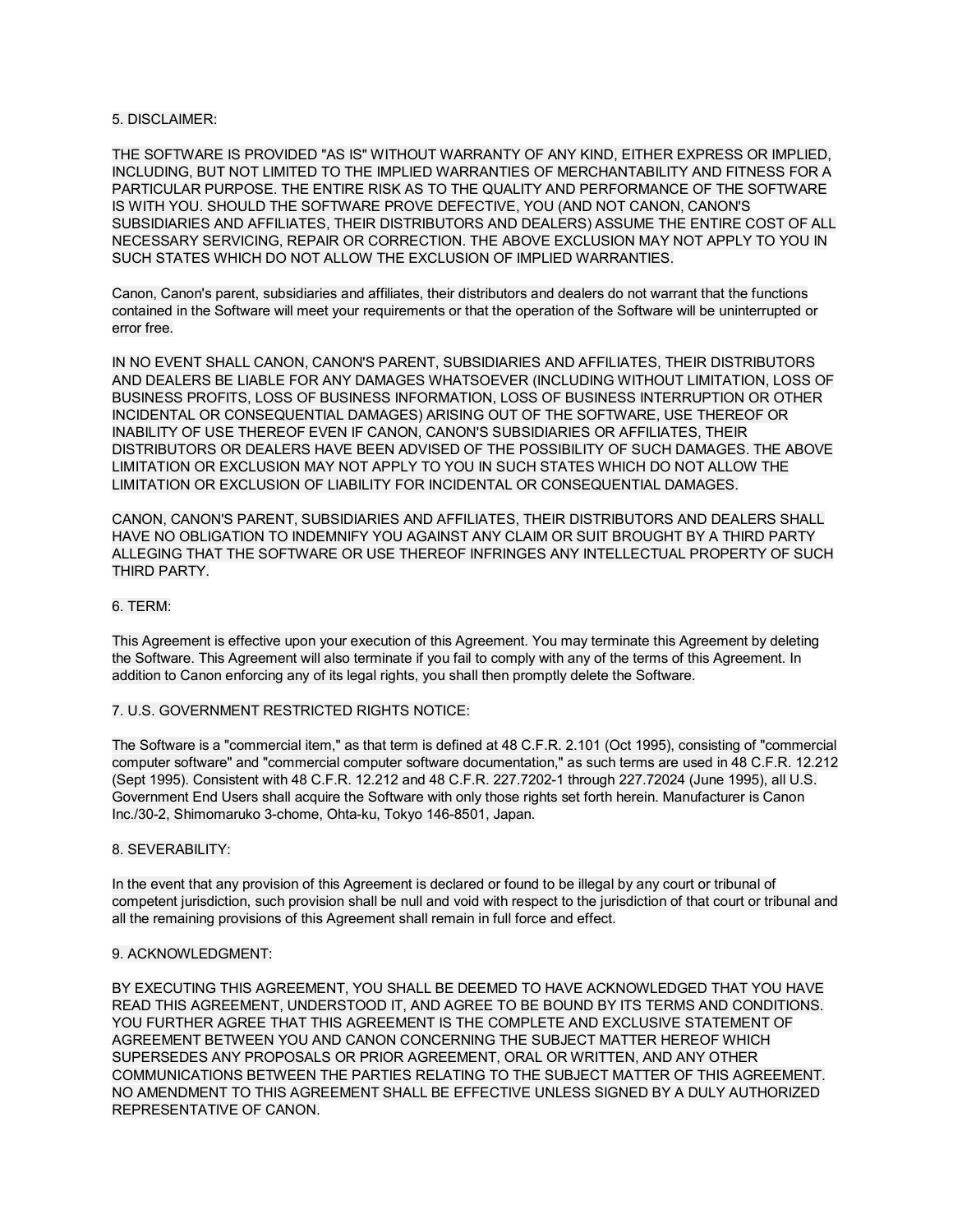## 5. DISCLAIMER:

THE SOFTWARE IS PROVIDED "AS IS" WITHOUT WARRANTY OF ANY KIND, EITHER EXPRESS OR IMPLIED, INCLUDING, BUT NOT LIMITED TO THE IMPLIED WARRANTIES OF MERCHANTABILITY AND FITNESS FOR A PARTICULAR PURPOSE. THE ENTIRE RISK AS TO THE QUALITY AND PERFORMANCE OF THE SOFTWARE IS WITH YOU. SHOULD THE SOFTWARE PROVE DEFECTIVE, YOU (AND NOT CANON, CANON'S SUBSIDIARIES AND AFFILIATES, THEIR DISTRIBUTORS AND DEALERS) ASSUME THE ENTIRE COST OF ALL NECESSARY SERVICING, REPAIR OR CORRECTION. THE ABOVE EXCLUSION MAY NOT APPLY TO YOU IN SUCH STATES WHICH DO NOT ALLOW THE EXCLUSION OF IMPLIED WARRANTIES.

Canon, Canon's parent, subsidiaries and affiliates, their distributors and dealers do not warrant that the functions contained in the Software will meet your requirements or that the operation of the Software will be uninterrupted or error free.

IN NO EVENT SHALL CANON, CANON'S PARENT, SUBSIDIARIES AND AFFILIATES, THEIR DISTRIBUTORS AND DEALERS BE LIABLE FOR ANY DAMAGES WHATSOEVER (INCLUDING WITHOUT LIMITATION, LOSS OF BUSINESS PROFITS, LOSS OF BUSINESS INFORMATION, LOSS OF BUSINESS INTERRUPTION OR OTHER INCIDENTAL OR CONSEQUENTIAL DAMAGES) ARISING OUT OF THE SOFTWARE, USE THEREOF OR INABILITY OF USE THEREOF EVEN IF CANON, CANON'S SUBSIDIARIES OR AFFILIATES, THEIR DISTRIBUTORS OR DEALERS HAVE BEEN ADVISED OF THE POSSIBILITY OF SUCH DAMAGES. THE ABOVE LIMITATION OR EXCLUSION MAY NOT APPLY TO YOU IN SUCH STATES WHICH DO NOT ALLOW THE LIMITATION OR EXCLUSION OF LIABILITY FOR INCIDENTAL OR CONSEQUENTIAL DAMAGES.

CANON, CANON'S PARENT, SUBSIDIARIES AND AFFILIATES, THEIR DISTRIBUTORS AND DEALERS SHALL HAVE NO OBLIGATION TO INDEMNIFY YOU AGAINST ANY CLAIM OR SUIT BROUGHT BY A THIRD PARTY ALLEGING THAT THE SOFTWARE OR USE THEREOF INFRINGES ANY INTELLECTUAL PROPERTY OF SUCH THIRD PARTY.

#### 6. TERM:

This Agreement is effective upon your execution of this Agreement. You may terminate this Agreement by deleting the Software. This Agreement will also terminate if you fail to comply with any of the terms of this Agreement. In addition to Canon enforcing any of its legal rights, you shall then promptly delete the Software.

## 7. U.S. GOVERNMENT RESTRICTED RIGHTS NOTICE:

The Software is a "commercial item," as that term is defined at 48 C.F.R. 2.101 (Oct 1995), consisting of "commercial computer software" and "commercial computer software documentation," as such terms are used in 48 C.F.R. 12.212 (Sept 1995). Consistent with 48 C.F.R. 12.212 and 48 C.F.R. 227.7202-1 through 227.72024 (June 1995), all U.S. Government End Users shall acquire the Software with only those rights set forth herein. Manufacturer is Canon Inc./30-2, Shimomaruko 3-chome, Ohta-ku, Tokyo 146-8501, Japan.

#### 8. SEVERABILITY:

In the event that any provision of this Agreement is declared or found to be illegal by any court or tribunal of competent jurisdiction, such provision shall be null and void with respect to the jurisdiction of that court or tribunal and all the remaining provisions of this Agreement shall remain in full force and effect.

# 9. ACKNOWLEDGMENT:

BY EXECUTING THIS AGREEMENT, YOU SHALL BE DEEMED TO HAVE ACKNOWLEDGED THAT YOU HAVE READ THIS AGREEMENT, UNDERSTOOD IT, AND AGREE TO BE BOUND BY ITS TERMS AND CONDITIONS. YOU FURTHER AGREE THAT THIS AGREEMENT IS THE COMPLETE AND EXCLUSIVE STATEMENT OF AGREEMENT BETWEEN YOU AND CANON CONCERNING THE SUBJECT MATTER HEREOF WHICH SUPERSEDES ANY PROPOSALS OR PRIOR AGREEMENT, ORAL OR WRITTEN, AND ANY OTHER COMMUNICATIONS BETWEEN THE PARTIES RELATING TO THE SUBJECT MATTER OF THIS AGREEMENT. NO AMENDMENT TO THIS AGREEMENT SHALL BE EFFECTIVE UNLESS SIGNED BY A DULY AUTHORIZED REPRESENTATIVE OF CANON.